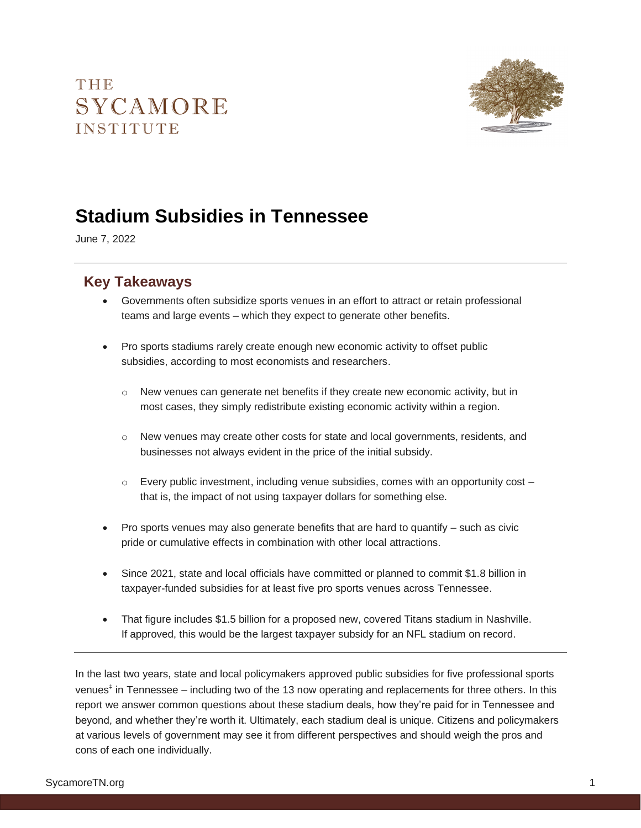# THE SYCAMORE **INSTITUTE**



# **Stadium Subsidies in Tennessee**

June 7, 2022

#### **Key Takeaways**

- Governments often subsidize sports venues in an effort to attract or retain professional teams and large events – which they expect to generate other benefits.
- Pro sports stadiums rarely create enough new economic activity to offset public subsidies, according to most economists and researchers.
	- $\circ$  New venues can generate net benefits if they create new economic activity, but in most cases, they simply redistribute existing economic activity within a region.
	- o New venues may create other costs for state and local governments, residents, and businesses not always evident in the price of the initial subsidy.
	- $\circ$  Every public investment, including venue subsidies, comes with an opportunity cost  $$ that is, the impact of not using taxpayer dollars for something else.
- Pro sports venues may also generate benefits that are hard to quantify such as civic pride or cumulative effects in combination with other local attractions.
- Since 2021, state and local officials have committed or planned to commit \$1.8 billion in taxpayer-funded subsidies for at least five pro sports venues across Tennessee.
- That figure includes \$1.5 billion for a proposed new, covered Titans stadium in Nashville. If approved, this would be the largest taxpayer subsidy for an NFL stadium on record.

In the last two years, state and local policymakers approved public subsidies for five professional sports venues<sup>‡</sup> in Tennessee – including two of the 13 now operating and replacements for three others. In this report we answer common questions about these stadium deals, how they're paid for in Tennessee and beyond, and whether they're worth it. Ultimately, each stadium deal is unique. Citizens and policymakers at various levels of government may see it from different perspectives and should weigh the pros and cons of each one individually.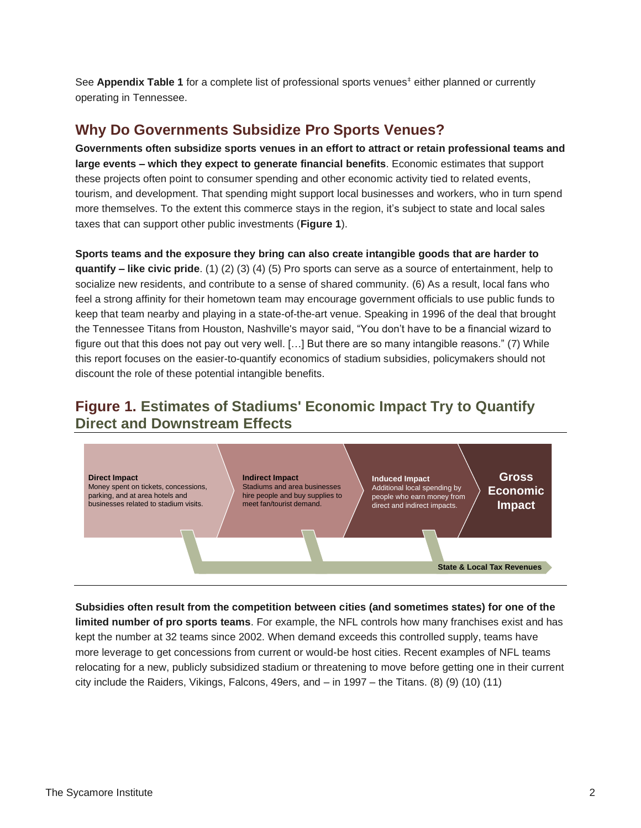See **Appendix Table 1** for a complete list of professional sports venues<sup>‡</sup> either planned or currently operating in Tennessee.

#### **Why Do Governments Subsidize Pro Sports Venues?**

**Governments often subsidize sports venues in an effort to attract or retain professional teams and large events – which they expect to generate financial benefits**. Economic estimates that support these projects often point to consumer spending and other economic activity tied to related events, tourism, and development. That spending might support local businesses and workers, who in turn spend more themselves. To the extent this commerce stays in the region, it's subject to state and local sales taxes that can support other public investments (**Figure 1**).

**Sports teams and the exposure they bring can also create intangible goods that are harder to quantify – like civic pride**. (1) (2) (3) (4) (5) Pro sports can serve as a source of entertainment, help to socialize new residents, and contribute to a sense of shared community. (6) As a result, local fans who feel a strong affinity for their hometown team may encourage government officials to use public funds to keep that team nearby and playing in a state-of-the-art venue. Speaking in 1996 of the deal that brought the Tennessee Titans from Houston, Nashville's mayor said, "You don't have to be a financial wizard to figure out that this does not pay out very well. […] But there are so many intangible reasons." (7) While this report focuses on the easier-to-quantify economics of stadium subsidies, policymakers should not discount the role of these potential intangible benefits.

### **Figure 1. Estimates of Stadiums' Economic Impact Try to Quantify Direct and Downstream Effects**



**Subsidies often result from the competition between cities (and sometimes states) for one of the limited number of pro sports teams**. For example, the NFL controls how many franchises exist and has kept the number at 32 teams since 2002. When demand exceeds this controlled supply, teams have more leverage to get concessions from current or would-be host cities. Recent examples of NFL teams relocating for a new, publicly subsidized stadium or threatening to move before getting one in their current city include the Raiders, Vikings, Falcons, 49ers, and – in 1997 – the Titans. (8) (9) (10) (11)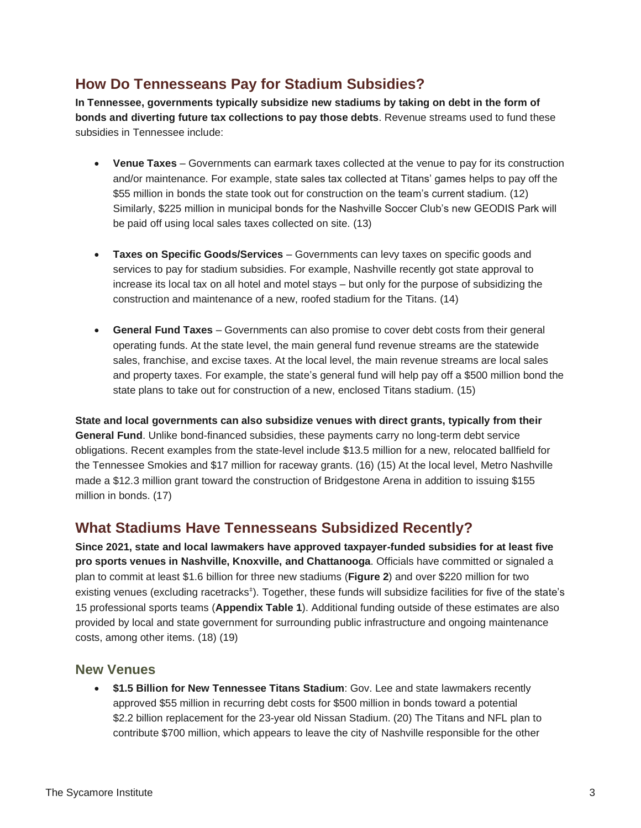### **How Do Tennesseans Pay for Stadium Subsidies?**

**In Tennessee, governments typically subsidize new stadiums by taking on debt in the form of bonds and diverting future tax collections to pay those debts**. Revenue streams used to fund these subsidies in Tennessee include:

- **Venue Taxes**  Governments can earmark taxes collected at the venue to pay for its construction and/or maintenance. For example, state sales tax collected at Titans' games helps to pay off the \$55 million in bonds the state took out for construction on the team's current stadium. (12) Similarly, \$225 million in municipal bonds for the Nashville Soccer Club's new GEODIS Park will be paid off using local sales taxes collected on site. (13)
- **Taxes on Specific Goods/Services** Governments can levy taxes on specific goods and services to pay for stadium subsidies. For example, Nashville recently got state approval to increase its local tax on all hotel and motel stays – but only for the purpose of subsidizing the construction and maintenance of a new, roofed stadium for the Titans. (14)
- **General Fund Taxes** Governments can also promise to cover debt costs from their general operating funds. At the state level, the main general fund revenue streams are the statewide sales, franchise, and excise taxes. At the local level, the main revenue streams are local sales and property taxes. For example, the state's general fund will help pay off a \$500 million bond the state plans to take out for construction of a new, enclosed Titans stadium. (15)

**State and local governments can also subsidize venues with direct grants, typically from their General Fund**. Unlike bond-financed subsidies, these payments carry no long-term debt service obligations. Recent examples from the state-level include \$13.5 million for a new, relocated ballfield for the Tennessee Smokies and \$17 million for raceway grants. (16) (15) At the local level, Metro Nashville made a \$12.3 million grant toward the construction of Bridgestone Arena in addition to issuing \$155 million in bonds. (17)

### **What Stadiums Have Tennesseans Subsidized Recently?**

**Since 2021, state and local lawmakers have approved taxpayer-funded subsidies for at least five pro sports venues in Nashville, Knoxville, and Chattanooga**. Officials have committed or signaled a plan to commit at least \$1.6 billion for three new stadiums (**Figure 2**) and over \$220 million for two existing venues (excluding racetracks<sup>‡</sup>). Together, these funds will subsidize facilities for five of the state's 15 professional sports teams (**Appendix Table 1**). Additional funding outside of these estimates are also provided by local and state government for surrounding public infrastructure and ongoing maintenance costs, among other items. (18) (19)

#### **New Venues**

• **\$1.5 Billion for New Tennessee Titans Stadium**: Gov. Lee and state lawmakers recently approved \$55 million in recurring debt costs for \$500 million in bonds toward a potential \$2.2 billion replacement for the 23-year old Nissan Stadium. (20) The Titans and NFL plan to contribute \$700 million, which appears to leave the city of Nashville responsible for the other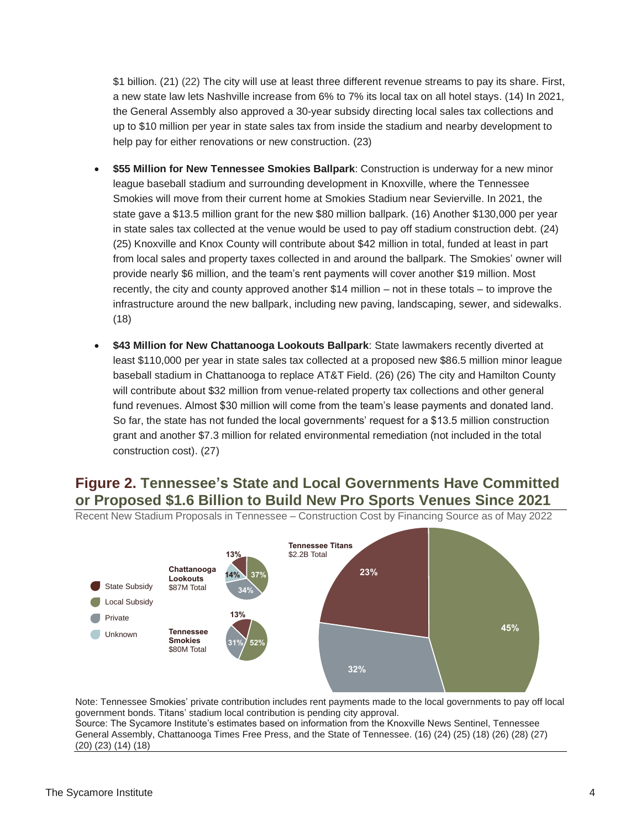\$1 billion. (21) (22) The city will use at least three different revenue streams to pay its share. First, a new state law lets Nashville increase from 6% to 7% its local tax on all hotel stays. (14) In 2021, the General Assembly also approved a 30-year subsidy directing local sales tax collections and up to \$10 million per year in state sales tax from inside the stadium and nearby development to help pay for either renovations or new construction. (23)

- **\$55 Million for New Tennessee Smokies Ballpark**: Construction is underway for a new minor league baseball stadium and surrounding development in Knoxville, where the Tennessee Smokies will move from their current home at Smokies Stadium near Sevierville. In 2021, the state gave a \$13.5 million grant for the new \$80 million ballpark. (16) Another \$130,000 per year in state sales tax collected at the venue would be used to pay off stadium construction debt. (24) (25) Knoxville and Knox County will contribute about \$42 million in total, funded at least in part from local sales and property taxes collected in and around the ballpark. The Smokies' owner will provide nearly \$6 million, and the team's rent payments will cover another \$19 million. Most recently, the city and county approved another \$14 million – not in these totals – to improve the infrastructure around the new ballpark, including new paving, landscaping, sewer, and sidewalks. (18)
- **\$43 Million for New Chattanooga Lookouts Ballpark**: State lawmakers recently diverted at least \$110,000 per year in state sales tax collected at a proposed new \$86.5 million minor league baseball stadium in Chattanooga to replace AT&T Field. (26) (26) The city and Hamilton County will contribute about \$32 million from venue-related property tax collections and other general fund revenues. Almost \$30 million will come from the team's lease payments and donated land. So far, the state has not funded the local governments' request for a \$13.5 million construction grant and another \$7.3 million for related environmental remediation (not included in the total construction cost). (27)

### **Figure 2. Tennessee's State and Local Governments Have Committed or Proposed \$1.6 Billion to Build New Pro Sports Venues Since 2021**



Recent New Stadium Proposals in Tennessee – Construction Cost by Financing Source as of May 2022

Note: Tennessee Smokies' private contribution includes rent payments made to the local governments to pay off local government bonds. Titans' stadium local contribution is pending city approval. Source: The Sycamore Institute's estimates based on information from the Knoxville News Sentinel, Tennessee General Assembly, Chattanooga Times Free Press, and the State of Tennessee. (16) (24) (25) (18) (26) (28) (27) (20) (23) (14) (18)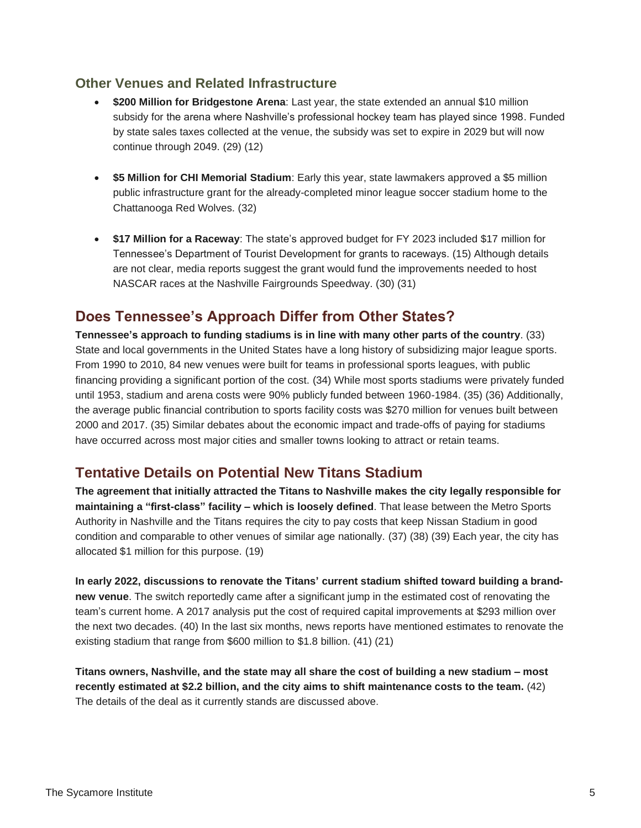#### **Other Venues and Related Infrastructure**

- **\$200 Million for Bridgestone Arena**: Last year, the state extended an annual \$10 million subsidy for the arena where Nashville's professional hockey team has played since 1998. Funded by state sales taxes collected at the venue, the subsidy was set to expire in 2029 but will now continue through 2049. (29) (12)
- **\$5 Million for CHI Memorial Stadium**: Early this year, state lawmakers approved a \$5 million public infrastructure grant for the already-completed minor league soccer stadium home to the Chattanooga Red Wolves. (32)
- **\$17 Million for a Raceway**: The state's approved budget for FY 2023 included \$17 million for Tennessee's Department of Tourist Development for grants to raceways. (15) Although details are not clear, media reports suggest the grant would fund the improvements needed to host NASCAR races at the Nashville Fairgrounds Speedway. (30) (31)

### **Does Tennessee's Approach Differ from Other States?**

**Tennessee's approach to funding stadiums is in line with many other parts of the country**. (33) State and local governments in the United States have a long history of subsidizing major league sports. From 1990 to 2010, 84 new venues were built for teams in professional sports leagues, with public financing providing a significant portion of the cost. (34) While most sports stadiums were privately funded until 1953, stadium and arena costs were 90% publicly funded between 1960-1984. (35) (36) Additionally, the average public financial contribution to sports facility costs was \$270 million for venues built between 2000 and 2017. (35) Similar debates about the economic impact and trade-offs of paying for stadiums have occurred across most major cities and smaller towns looking to attract or retain teams.

### **Tentative Details on Potential New Titans Stadium**

**The agreement that initially attracted the Titans to Nashville makes the city legally responsible for maintaining a "first-class" facility – which is loosely defined**. That lease between the Metro Sports Authority in Nashville and the Titans requires the city to pay costs that keep Nissan Stadium in good condition and comparable to other venues of similar age nationally. (37) (38) (39) Each year, the city has allocated \$1 million for this purpose. (19)

**In early 2022, discussions to renovate the Titans' current stadium shifted toward building a brandnew venue**. The switch reportedly came after a significant jump in the estimated cost of renovating the team's current home. A 2017 analysis put the cost of required capital improvements at \$293 million over the next two decades. (40) In the last six months, news reports have mentioned estimates to renovate the existing stadium that range from \$600 million to \$1.8 billion. (41) (21)

**Titans owners, Nashville, and the state may all share the cost of building a new stadium – most recently estimated at \$2.2 billion, and the city aims to shift maintenance costs to the team.** (42) The details of the deal as it currently stands are discussed above.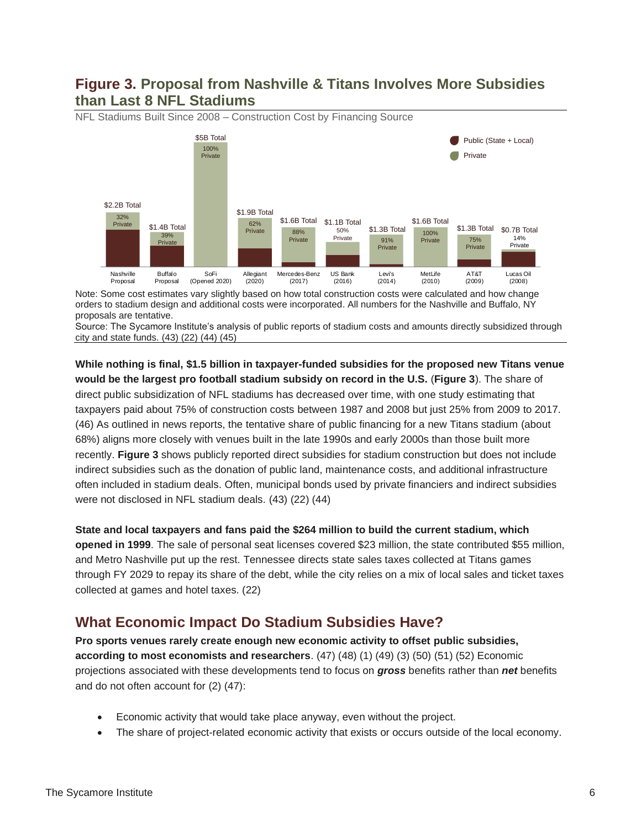#### **Figure 3. Proposal from Nashville & Titans Involves More Subsidies than Last 8 NFL Stadiums**



NFL Stadiums Built Since 2008 – Construction Cost by Financing Source

Note: Some cost estimates vary slightly based on how total construction costs were calculated and how change orders to stadium design and additional costs were incorporated. All numbers for the Nashville and Buffalo, NY proposals are tentative.

Source: The Sycamore Institute's analysis of public reports of stadium costs and amounts directly subsidized through city and state funds. (43) (22) (44) (45)

**While nothing is final, \$1.5 billion in taxpayer-funded subsidies for the proposed new Titans venue would be the largest pro football stadium subsidy on record in the U.S.** (**Figure 3**). The share of direct public subsidization of NFL stadiums has decreased over time, with one study estimating that taxpayers paid about 75% of construction costs between 1987 and 2008 but just 25% from 2009 to 2017. (46) As outlined in news reports, the tentative share of public financing for a new Titans stadium (about 68%) aligns more closely with venues built in the late 1990s and early 2000s than those built more recently. **Figure 3** shows publicly reported direct subsidies for stadium construction but does not include indirect subsidies such as the donation of public land, maintenance costs, and additional infrastructure often included in stadium deals. Often, municipal bonds used by private financiers and indirect subsidies were not disclosed in NFL stadium deals. (43) (22) (44)

**State and local taxpayers and fans paid the \$264 million to build the current stadium, which opened in 1999**. The sale of personal seat licenses covered \$23 million, the state contributed \$55 million, and Metro Nashville put up the rest. Tennessee directs state sales taxes collected at Titans games through FY 2029 to repay its share of the debt, while the city relies on a mix of local sales and ticket taxes collected at games and hotel taxes. (22)

### **What Economic Impact Do Stadium Subsidies Have?**

**Pro sports venues rarely create enough new economic activity to offset public subsidies, according to most economists and researchers**. (47) (48) (1) (49) (3) (50) (51) (52) Economic projections associated with these developments tend to focus on *gross* benefits rather than *net* benefits and do not often account for (2) (47):

- Economic activity that would take place anyway, even without the project.
- The share of project-related economic activity that exists or occurs outside of the local economy.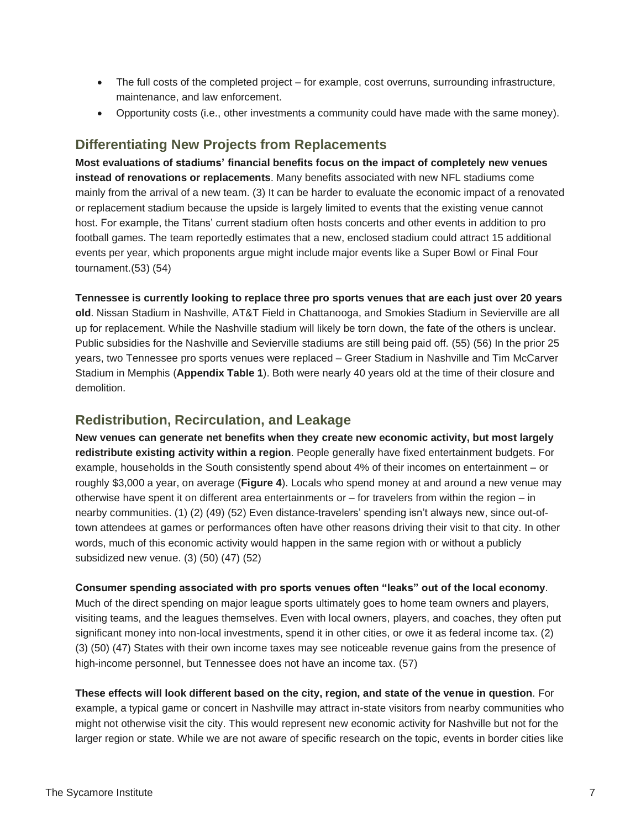- The full costs of the completed project for example, cost overruns, surrounding infrastructure, maintenance, and law enforcement.
- Opportunity costs (i.e., other investments a community could have made with the same money).

#### **Differentiating New Projects from Replacements**

**Most evaluations of stadiums' financial benefits focus on the impact of completely new venues instead of renovations or replacements**. Many benefits associated with new NFL stadiums come mainly from the arrival of a new team. (3) It can be harder to evaluate the economic impact of a renovated or replacement stadium because the upside is largely limited to events that the existing venue cannot host. For example, the Titans' current stadium often hosts concerts and other events in addition to pro football games. The team reportedly estimates that a new, enclosed stadium could attract 15 additional events per year, which proponents argue might include major events like a Super Bowl or Final Four tournament.(53) (54)

**Tennessee is currently looking to replace three pro sports venues that are each just over 20 years old**. Nissan Stadium in Nashville, AT&T Field in Chattanooga, and Smokies Stadium in Sevierville are all up for replacement. While the Nashville stadium will likely be torn down, the fate of the others is unclear. Public subsidies for the Nashville and Sevierville stadiums are still being paid off. (55) (56) In the prior 25 years, two Tennessee pro sports venues were replaced – Greer Stadium in Nashville and Tim McCarver Stadium in Memphis (**Appendix Table 1**). Both were nearly 40 years old at the time of their closure and demolition.

#### **Redistribution, Recirculation, and Leakage**

**New venues can generate net benefits when they create new economic activity, but most largely redistribute existing activity within a region**. People generally have fixed entertainment budgets. For example, households in the South consistently spend about 4% of their incomes on entertainment – or roughly \$3,000 a year, on average (**Figure 4**). Locals who spend money at and around a new venue may otherwise have spent it on different area entertainments or  $-$  for travelers from within the region  $-$  in nearby communities. (1) (2) (49) (52) Even distance-travelers' spending isn't always new, since out-oftown attendees at games or performances often have other reasons driving their visit to that city. In other words, much of this economic activity would happen in the same region with or without a publicly subsidized new venue. (3) (50) (47) (52)

**Consumer spending associated with pro sports venues often "leaks" out of the local economy**. Much of the direct spending on major league sports ultimately goes to home team owners and players, visiting teams, and the leagues themselves. Even with local owners, players, and coaches, they often put significant money into non-local investments, spend it in other cities, or owe it as federal income tax. (2)

(3) (50) (47) States with their own income taxes may see noticeable revenue gains from the presence of

high-income personnel, but Tennessee does not have an income tax. (57) **These effects will look different based on the city, region, and state of the venue in question**. For example, a typical game or concert in Nashville may attract in-state visitors from nearby communities who

might not otherwise visit the city. This would represent new economic activity for Nashville but not for the larger region or state. While we are not aware of specific research on the topic, events in border cities like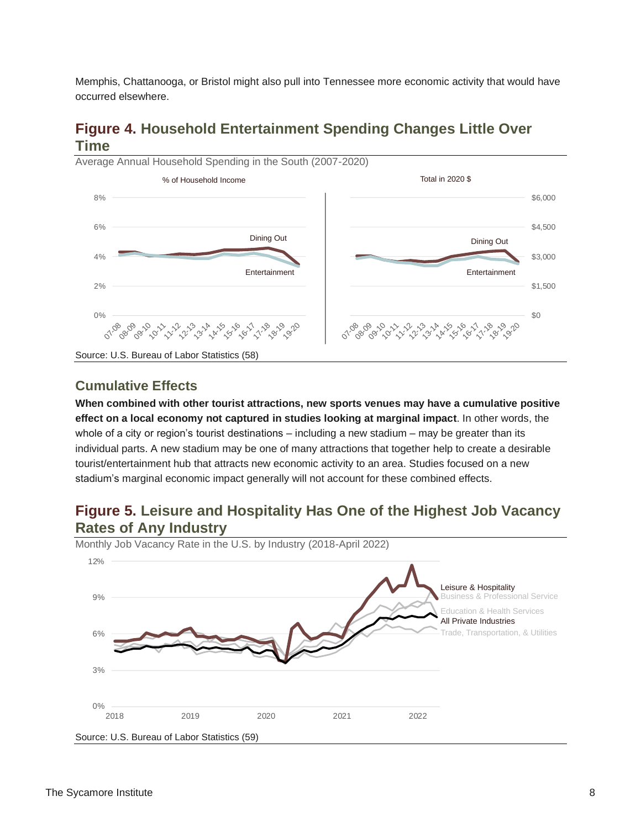Memphis, Chattanooga, or Bristol might also pull into Tennessee more economic activity that would have occurred elsewhere.

### **Figure 4. Household Entertainment Spending Changes Little Over Time**



**Cumulative Effects**

**When combined with other tourist attractions, new sports venues may have a cumulative positive effect on a local economy not captured in studies looking at marginal impact**. In other words, the whole of a city or region's tourist destinations – including a new stadium – may be greater than its individual parts. A new stadium may be one of many attractions that together help to create a desirable tourist/entertainment hub that attracts new economic activity to an area. Studies focused on a new stadium's marginal economic impact generally will not account for these combined effects.

### **Figure 5. Leisure and Hospitality Has One of the Highest Job Vacancy Rates of Any Industry**



Monthly Job Vacancy Rate in the U.S. by Industry (2018-April 2022)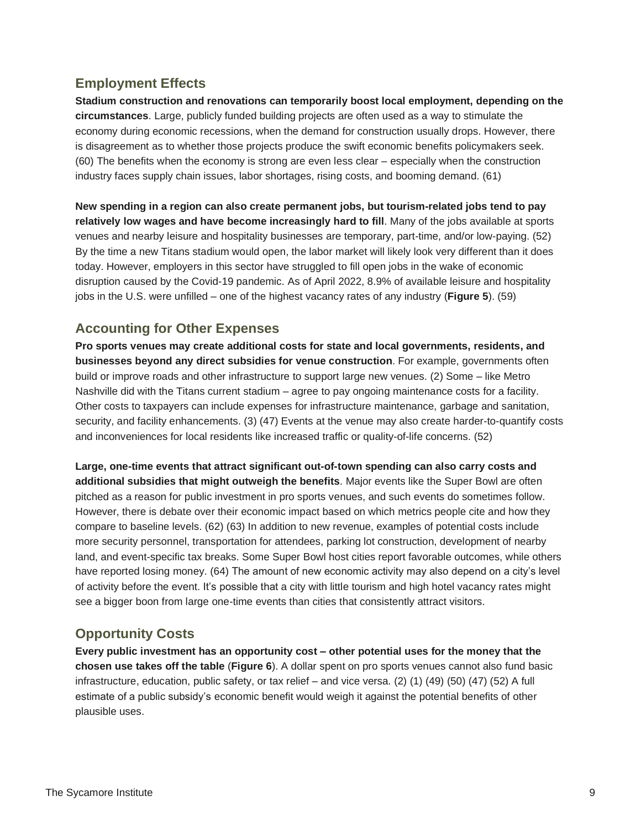#### **Employment Effects**

**Stadium construction and renovations can temporarily boost local employment, depending on the circumstances**. Large, publicly funded building projects are often used as a way to stimulate the economy during economic recessions, when the demand for construction usually drops. However, there is disagreement as to whether those projects produce the swift economic benefits policymakers seek. (60) The benefits when the economy is strong are even less clear – especially when the construction industry faces supply chain issues, labor shortages, rising costs, and booming demand. (61)

**New spending in a region can also create permanent jobs, but tourism-related jobs tend to pay relatively low wages and have become increasingly hard to fill**. Many of the jobs available at sports venues and nearby leisure and hospitality businesses are temporary, part-time, and/or low-paying. (52) By the time a new Titans stadium would open, the labor market will likely look very different than it does today. However, employers in this sector have struggled to fill open jobs in the wake of economic disruption caused by the Covid-19 pandemic. As of April 2022, 8.9% of available leisure and hospitality jobs in the U.S. were unfilled – one of the highest vacancy rates of any industry (**Figure 5**). (59)

#### **Accounting for Other Expenses**

**Pro sports venues may create additional costs for state and local governments, residents, and businesses beyond any direct subsidies for venue construction**. For example, governments often build or improve roads and other infrastructure to support large new venues. (2) Some – like Metro Nashville did with the Titans current stadium – agree to pay ongoing maintenance costs for a facility. Other costs to taxpayers can include expenses for infrastructure maintenance, garbage and sanitation, security, and facility enhancements. (3) (47) Events at the venue may also create harder-to-quantify costs and inconveniences for local residents like increased traffic or quality-of-life concerns. (52)

**Large, one-time events that attract significant out-of-town spending can also carry costs and additional subsidies that might outweigh the benefits**. Major events like the Super Bowl are often pitched as a reason for public investment in pro sports venues, and such events do sometimes follow. However, there is debate over their economic impact based on which metrics people cite and how they compare to baseline levels. (62) (63) In addition to new revenue, examples of potential costs include more security personnel, transportation for attendees, parking lot construction, development of nearby land, and event-specific tax breaks. Some Super Bowl host cities report favorable outcomes, while others have reported losing money. (64) The amount of new economic activity may also depend on a city's level of activity before the event. It's possible that a city with little tourism and high hotel vacancy rates might see a bigger boon from large one-time events than cities that consistently attract visitors.

### **Opportunity Costs**

**Every public investment has an opportunity cost – other potential uses for the money that the chosen use takes off the table** (**Figure 6**). A dollar spent on pro sports venues cannot also fund basic infrastructure, education, public safety, or tax relief – and vice versa. (2) (1) (49) (50) (47) (52) A full estimate of a public subsidy's economic benefit would weigh it against the potential benefits of other plausible uses.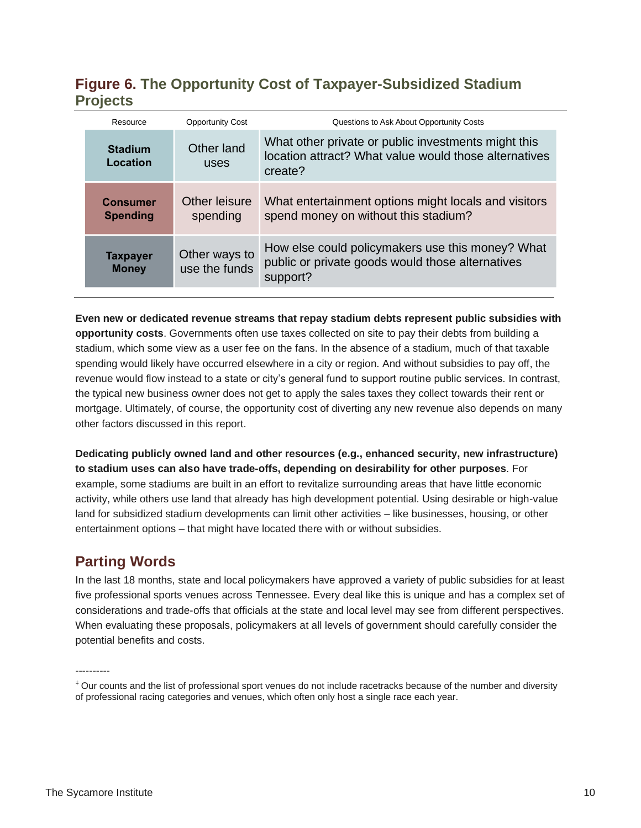# **Figure 6. The Opportunity Cost of Taxpayer-Subsidized Stadium Projects**

|  | Resource                           | <b>Opportunity Cost</b>        | Questions to Ask About Opportunity Costs                                                                                |  |  |
|--|------------------------------------|--------------------------------|-------------------------------------------------------------------------------------------------------------------------|--|--|
|  | <b>Stadium</b><br>Location         | Other land<br>uses             | What other private or public investments might this<br>location attract? What value would those alternatives<br>create? |  |  |
|  | <b>Consumer</b><br><b>Spending</b> | Other leisure<br>spending      | What entertainment options might locals and visitors<br>spend money on without this stadium?                            |  |  |
|  | <b>Taxpayer</b><br><b>Money</b>    | Other ways to<br>use the funds | How else could policymakers use this money? What<br>public or private goods would those alternatives<br>support?        |  |  |

**Even new or dedicated revenue streams that repay stadium debts represent public subsidies with opportunity costs**. Governments often use taxes collected on site to pay their debts from building a stadium, which some view as a user fee on the fans. In the absence of a stadium, much of that taxable spending would likely have occurred elsewhere in a city or region. And without subsidies to pay off, the revenue would flow instead to a state or city's general fund to support routine public services. In contrast, the typical new business owner does not get to apply the sales taxes they collect towards their rent or mortgage. Ultimately, of course, the opportunity cost of diverting any new revenue also depends on many other factors discussed in this report.

**Dedicating publicly owned land and other resources (e.g., enhanced security, new infrastructure) to stadium uses can also have trade-offs, depending on desirability for other purposes**. For example, some stadiums are built in an effort to revitalize surrounding areas that have little economic activity, while others use land that already has high development potential. Using desirable or high-value land for subsidized stadium developments can limit other activities – like businesses, housing, or other entertainment options – that might have located there with or without subsidies.

### **Parting Words**

In the last 18 months, state and local policymakers have approved a variety of public subsidies for at least five professional sports venues across Tennessee. Every deal like this is unique and has a complex set of considerations and trade-offs that officials at the state and local level may see from different perspectives. When evaluating these proposals, policymakers at all levels of government should carefully consider the potential benefits and costs.

----------

<sup>‡</sup> Our counts and the list of professional sport venues do not include racetracks because of the number and diversity of professional racing categories and venues, which often only host a single race each year.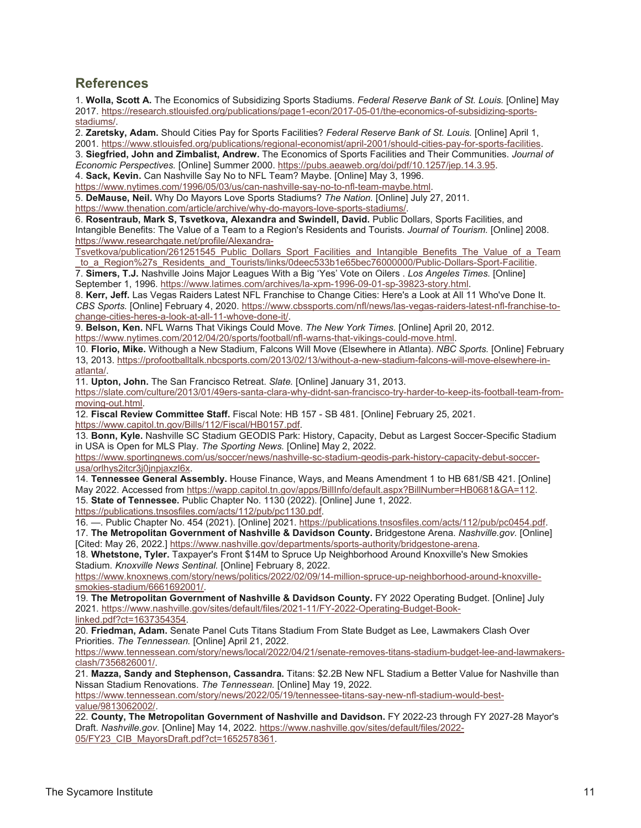#### **References**

1. **Wolla, Scott A.** The Economics of Subsidizing Sports Stadiums. *Federal Reserve Bank of St. Louis.* [Online] May 2017. [https://research.stlouisfed.org/publications/page1-econ/2017-05-01/the-economics-of-subsidizing-sports](https://research.stlouisfed.org/publications/page1-econ/2017-05-01/the-economics-of-subsidizing-sports-stadiums/)[stadiums/.](https://research.stlouisfed.org/publications/page1-econ/2017-05-01/the-economics-of-subsidizing-sports-stadiums/)

2. **Zaretsky, Adam.** Should Cities Pay for Sports Facilities? *Federal Reserve Bank of St. Louis.* [Online] April 1, 2001. [https://www.stlouisfed.org/publications/regional-economist/april-2001/should-cities-pay-for-sports-facilities.](https://www.stlouisfed.org/publications/regional-economist/april-2001/should-cities-pay-for-sports-facilities)

3. **Siegfried, John and Zimbalist, Andrew.** The Economics of Sports Facilities and Their Communities. *Journal of Economic Perspectives.* [Online] Summer 2000. [https://pubs.aeaweb.org/doi/pdf/10.1257/jep.14.3.95.](https://pubs.aeaweb.org/doi/pdf/10.1257/jep.14.3.95) 4. **Sack, Kevin.** Can Nashville Say No to NFL Team? Maybe. [Online] May 3, 1996.

[https://www.nytimes.com/1996/05/03/us/can-nashville-say-no-to-nfl-team-maybe.html.](https://www.nytimes.com/1996/05/03/us/can-nashville-say-no-to-nfl-team-maybe.html)

5. **DeMause, Neil.** Why Do Mayors Love Sports Stadiums? *The Nation.* [Online] July 27, 2011.

[https://www.thenation.com/article/archive/why-do-mayors-love-sports-stadiums/.](https://www.thenation.com/article/archive/why-do-mayors-love-sports-stadiums/)

6. **Rosentraub, Mark S, Tsvetkova, Alexandra and Swindell, David.** Public Dollars, Sports Facilities, and Intangible Benefits: The Value of a Team to a Region's Residents and Tourists. *Journal of Tourism.* [Online] 2008. [https://www.researchgate.net/profile/Alexandra-](https://www.researchgate.net/profile/Alexandra-Tsvetkova/publication/261251545_Public_Dollars_Sport_Facilities_and_Intangible_Benefits_The_Value_of_a_Team_to_a_Region%27s_Residents_and_Tourists/links/0deec533b1e65bec76000000/Public-Dollars-Sport-Facilitie)

[Tsvetkova/publication/261251545\\_Public\\_Dollars\\_Sport\\_Facilities\\_and\\_Intangible\\_Benefits\\_The\\_Value\\_of\\_a\\_Team](https://www.researchgate.net/profile/Alexandra-Tsvetkova/publication/261251545_Public_Dollars_Sport_Facilities_and_Intangible_Benefits_The_Value_of_a_Team_to_a_Region%27s_Residents_and_Tourists/links/0deec533b1e65bec76000000/Public-Dollars-Sport-Facilitie) to a Region%27s Residents and Tourists/links/0deec533b1e65bec76000000/Public-Dollars-Sport-Facilitie.

7. **Simers, T.J.** Nashville Joins Major Leagues With a Big 'Yes' Vote on Oilers . *Los Angeles Times.* [Online] September 1, 1996. [https://www.latimes.com/archives/la-xpm-1996-09-01-sp-39823-story.html.](https://www.latimes.com/archives/la-xpm-1996-09-01-sp-39823-story.html)

8. **Kerr, Jeff.** Las Vegas Raiders Latest NFL Franchise to Change Cities: Here's a Look at All 11 Who've Done It. *CBS Sports.* [Online] February 4, 2020. [https://www.cbssports.com/nfl/news/las-vegas-raiders-latest-nfl-franchise-to](https://www.cbssports.com/nfl/news/las-vegas-raiders-latest-nfl-franchise-to-change-cities-heres-a-look-at-all-11-whove-done-it/)[change-cities-heres-a-look-at-all-11-whove-done-it/.](https://www.cbssports.com/nfl/news/las-vegas-raiders-latest-nfl-franchise-to-change-cities-heres-a-look-at-all-11-whove-done-it/)

9. **Belson, Ken.** NFL Warns That Vikings Could Move. *The New York Times.* [Online] April 20, 2012. [https://www.nytimes.com/2012/04/20/sports/football/nfl-warns-that-vikings-could-move.html.](https://www.nytimes.com/2012/04/20/sports/football/nfl-warns-that-vikings-could-move.html)

10. **Florio, Mike.** Withough a New Stadium, Falcons Will Move (Elsewhere in Atlanta). *NBC Sports.* [Online] February 13, 2013. [https://profootballtalk.nbcsports.com/2013/02/13/without-a-new-stadium-falcons-will-move-elsewhere-in](https://profootballtalk.nbcsports.com/2013/02/13/without-a-new-stadium-falcons-will-move-elsewhere-in-atlanta/)[atlanta/.](https://profootballtalk.nbcsports.com/2013/02/13/without-a-new-stadium-falcons-will-move-elsewhere-in-atlanta/)

11. **Upton, John.** The San Francisco Retreat. *Slate.* [Online] January 31, 2013.

[https://slate.com/culture/2013/01/49ers-santa-clara-why-didnt-san-francisco-try-harder-to-keep-its-football-team-from](https://slate.com/culture/2013/01/49ers-santa-clara-why-didnt-san-francisco-try-harder-to-keep-its-football-team-from-moving-out.html)[moving-out.html.](https://slate.com/culture/2013/01/49ers-santa-clara-why-didnt-san-francisco-try-harder-to-keep-its-football-team-from-moving-out.html)

12. **Fiscal Review Committee Staff.** Fiscal Note: HB 157 - SB 481. [Online] February 25, 2021. [https://www.capitol.tn.gov/Bills/112/Fiscal/HB0157.pdf.](https://www.capitol.tn.gov/Bills/112/Fiscal/HB0157.pdf)

13. **Bonn, Kyle.** Nashville SC Stadium GEODIS Park: History, Capacity, Debut as Largest Soccer-Specific Stadium in USA is Open for MLS Play. *The Sporting News.* [Online] May 2, 2022.

[https://www.sportingnews.com/us/soccer/news/nashville-sc-stadium-geodis-park-history-capacity-debut-soccer](https://www.sportingnews.com/us/soccer/news/nashville-sc-stadium-geodis-park-history-capacity-debut-soccer-usa/orlhys2itcr3j0jnpjaxzl6x)[usa/orlhys2itcr3j0jnpjaxzl6x.](https://www.sportingnews.com/us/soccer/news/nashville-sc-stadium-geodis-park-history-capacity-debut-soccer-usa/orlhys2itcr3j0jnpjaxzl6x)

14. **Tennessee General Assembly.** House Finance, Ways, and Means Amendment 1 to HB 681/SB 421. [Online] May 2022. Accessed from [https://wapp.capitol.tn.gov/apps/BillInfo/default.aspx?BillNumber=HB0681&GA=112.](https://wapp.capitol.tn.gov/apps/BillInfo/default.aspx?BillNumber=HB0681&GA=112) 15. **State of Tennessee.** Public Chapter No. 1130 (2022). [Online] June 1, 2022.

[https://publications.tnsosfiles.com/acts/112/pub/pc1130.pdf.](https://publications.tnsosfiles.com/acts/112/pub/pc1130.pdf)

16. —. Public Chapter No. 454 (2021). [Online] 2021. [https://publications.tnsosfiles.com/acts/112/pub/pc0454.pdf.](https://publications.tnsosfiles.com/acts/112/pub/pc0454.pdf) 17. **The Metropolitan Government of Nashville & Davidson County.** Bridgestone Arena. *Nashville.gov.* [Online] [Cited: May 26, 2022.] [https://www.nashville.gov/departments/sports-authority/bridgestone-arena.](https://www.nashville.gov/departments/sports-authority/bridgestone-arena)

18. **Whetstone, Tyler.** Taxpayer's Front \$14M to Spruce Up Neighborhood Around Knoxville's New Smokies Stadium. *Knoxville News Sentinal.* [Online] February 8, 2022.

[https://www.knoxnews.com/story/news/politics/2022/02/09/14-million-spruce-up-neighborhood-around-knoxville](https://www.knoxnews.com/story/news/politics/2022/02/09/14-million-spruce-up-neighborhood-around-knoxville-smokies-stadium/6661692001/)[smokies-stadium/6661692001/.](https://www.knoxnews.com/story/news/politics/2022/02/09/14-million-spruce-up-neighborhood-around-knoxville-smokies-stadium/6661692001/)

19. **The Metropolitan Government of Nashville & Davidson County.** FY 2022 Operating Budget. [Online] July 2021. [https://www.nashville.gov/sites/default/files/2021-11/FY-2022-Operating-Budget-Book](https://www.nashville.gov/sites/default/files/2021-11/FY-2022-Operating-Budget-Book-linked.pdf?ct=1637354354)[linked.pdf?ct=1637354354.](https://www.nashville.gov/sites/default/files/2021-11/FY-2022-Operating-Budget-Book-linked.pdf?ct=1637354354)

20. **Friedman, Adam.** Senate Panel Cuts Titans Stadium From State Budget as Lee, Lawmakers Clash Over Priorities. *The Tennessean.* [Online] April 21, 2022.

[https://www.tennessean.com/story/news/local/2022/04/21/senate-removes-titans-stadium-budget-lee-and-lawmakers](https://www.tennessean.com/story/news/local/2022/04/21/senate-removes-titans-stadium-budget-lee-and-lawmakers-clash/7356826001/)[clash/7356826001/.](https://www.tennessean.com/story/news/local/2022/04/21/senate-removes-titans-stadium-budget-lee-and-lawmakers-clash/7356826001/)

21. **Mazza, Sandy and Stephenson, Cassandra.** Titans: \$2.2B New NFL Stadium a Better Value for Nashville than Nissan Stadium Renovations. *The Tennessean.* [Online] May 19, 2022.

[https://www.tennessean.com/story/news/2022/05/19/tennessee-titans-say-new-nfl-stadium-would-best](https://www.tennessean.com/story/news/2022/05/19/tennessee-titans-say-new-nfl-stadium-would-best-value/9813062002/)[value/9813062002/.](https://www.tennessean.com/story/news/2022/05/19/tennessee-titans-say-new-nfl-stadium-would-best-value/9813062002/)

22. **County, The Metropolitan Government of Nashville and Davidson.** FY 2022-23 through FY 2027-28 Mayor's Draft. *Nashville.gov.* [Online] May 14, 2022. [https://www.nashville.gov/sites/default/files/2022-](https://www.nashville.gov/sites/default/files/2022-05/FY23_CIB_MayorsDraft.pdf?ct=1652578361) 05/FY23 CIB MayorsDraft.pdf?ct=1652578361.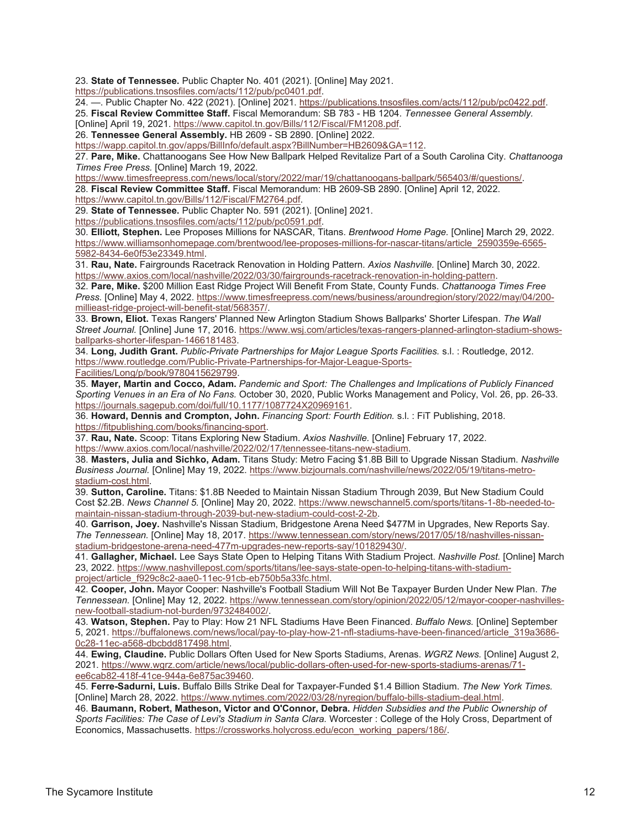23. **State of Tennessee.** Public Chapter No. 401 (2021). [Online] May 2021.

[https://publications.tnsosfiles.com/acts/112/pub/pc0401.pdf.](https://publications.tnsosfiles.com/acts/112/pub/pc0401.pdf)

24. —. Public Chapter No. 422 (2021). [Online] 2021. [https://publications.tnsosfiles.com/acts/112/pub/pc0422.pdf.](https://publications.tnsosfiles.com/acts/112/pub/pc0422.pdf)  25. **Fiscal Review Committee Staff.** Fiscal Memorandum: SB 783 - HB 1204. *Tennessee General Assembly.* 

[Online] April 19, 2021. [https://www.capitol.tn.gov/Bills/112/Fiscal/FM1208.pdf.](https://www.capitol.tn.gov/Bills/112/Fiscal/FM1208.pdf)

26. **Tennessee General Assembly.** HB 2609 - SB 2890. [Online] 2022.

[https://wapp.capitol.tn.gov/apps/BillInfo/default.aspx?BillNumber=HB2609&GA=112.](https://wapp.capitol.tn.gov/apps/BillInfo/default.aspx?BillNumber=HB2609&GA=112)

27. **Pare, Mike.** Chattanoogans See How New Ballpark Helped Revitalize Part of a South Carolina City. *Chattanooga Times Free Press.* [Online] March 19, 2022.

[https://www.timesfreepress.com/news/local/story/2022/mar/19/chattanoogans-ballpark/565403/#/questions/.](https://www.timesfreepress.com/news/local/story/2022/mar/19/chattanoogans-ballpark/565403/#/questions/)

28. **Fiscal Review Committee Staff.** Fiscal Memorandum: HB 2609-SB 2890. [Online] April 12, 2022.

[https://www.capitol.tn.gov/Bills/112/Fiscal/FM2764.pdf.](https://www.capitol.tn.gov/Bills/112/Fiscal/FM2764.pdf)

29. **State of Tennessee.** Public Chapter No. 591 (2021). [Online] 2021.

[https://publications.tnsosfiles.com/acts/112/pub/pc0591.pdf.](https://publications.tnsosfiles.com/acts/112/pub/pc0591.pdf)

30. **Elliott, Stephen.** Lee Proposes Millions for NASCAR, Titans. *Brentwood Home Page.* [Online] March 29, 2022. [https://www.williamsonhomepage.com/brentwood/lee-proposes-millions-for-nascar-titans/article\\_2590359e-6565-](https://www.williamsonhomepage.com/brentwood/lee-proposes-millions-for-nascar-titans/article_2590359e-6565-5982-8434-6e0f53e23349.html) [5982-8434-6e0f53e23349.html.](https://www.williamsonhomepage.com/brentwood/lee-proposes-millions-for-nascar-titans/article_2590359e-6565-5982-8434-6e0f53e23349.html)

31. **Rau, Nate.** Fairgrounds Racetrack Renovation in Holding Pattern. *Axios Nashville.* [Online] March 30, 2022. [https://www.axios.com/local/nashville/2022/03/30/fairgrounds-racetrack-renovation-in-holding-pattern.](https://www.axios.com/local/nashville/2022/03/30/fairgrounds-racetrack-renovation-in-holding-pattern)

32. **Pare, Mike.** \$200 Million East Ridge Project Will Benefit From State, County Funds. *Chattanooga Times Free Press.* [Online] May 4, 2022. [https://www.timesfreepress.com/news/business/aroundregion/story/2022/may/04/200](https://www.timesfreepress.com/news/business/aroundregion/story/2022/may/04/200-millieast-ridge-project-will-benefit-stat/568357/) [millieast-ridge-project-will-benefit-stat/568357/.](https://www.timesfreepress.com/news/business/aroundregion/story/2022/may/04/200-millieast-ridge-project-will-benefit-stat/568357/)

33. **Brown, Eliot.** Texas Rangers' Planned New Arlington Stadium Shows Ballparks' Shorter Lifespan. *The Wall Street Journal.* [Online] June 17, 2016. [https://www.wsj.com/articles/texas-rangers-planned-arlington-stadium-shows](https://www.wsj.com/articles/texas-rangers-planned-arlington-stadium-shows-ballparks-shorter-lifespan-1466181483)[ballparks-shorter-lifespan-1466181483.](https://www.wsj.com/articles/texas-rangers-planned-arlington-stadium-shows-ballparks-shorter-lifespan-1466181483)

34. **Long, Judith Grant.** *Public-Private Partnerships for Major League Sports Facilities.* s.l. : Routledge, 2012. [https://www.routledge.com/Public-Private-Partnerships-for-Major-League-Sports-](https://www.routledge.com/Public-Private-Partnerships-for-Major-League-Sports-Facilities/Long/p/book/9780415629799)

[Facilities/Long/p/book/9780415629799.](https://www.routledge.com/Public-Private-Partnerships-for-Major-League-Sports-Facilities/Long/p/book/9780415629799)

35. **Mayer, Martin and Cocco, Adam.** *Pandemic and Sport: The Challenges and Implications of Publicly Financed Sporting Venues in an Era of No Fans.* October 30, 2020, Public Works Management and Policy, Vol. 26, pp. 26-33. [https://journals.sagepub.com/doi/full/10.1177/1087724X20969161.](https://journals.sagepub.com/doi/full/10.1177/1087724X20969161)

36. **Howard, Dennis and Crompton, John.** *Financing Sport: Fourth Edition.* s.l. : FiT Publishing, 2018. [https://fitpublishing.com/books/financing-sport.](https://fitpublishing.com/books/financing-sport)

37. **Rau, Nate.** Scoop: Titans Exploring New Stadium. *Axios Nashville.* [Online] February 17, 2022. [https://www.axios.com/local/nashville/2022/02/17/tennessee-titans-new-stadium.](https://www.axios.com/local/nashville/2022/02/17/tennessee-titans-new-stadium)

38. **Masters, Julia and Sichko, Adam.** Titans Study: Metro Facing \$1.8B Bill to Upgrade Nissan Stadium. *Nashville Business Journal.* [Online] May 19, 2022. [https://www.bizjournals.com/nashville/news/2022/05/19/titans-metro](https://www.bizjournals.com/nashville/news/2022/05/19/titans-metro-stadium-cost.html)[stadium-cost.html.](https://www.bizjournals.com/nashville/news/2022/05/19/titans-metro-stadium-cost.html)

39. **Sutton, Caroline.** Titans: \$1.8B Needed to Maintain Nissan Stadium Through 2039, But New Stadium Could Cost \$2.2B. *News Channel 5.* [Online] May 20, 2022. [https://www.newschannel5.com/sports/titans-1-8b-needed-to](https://www.newschannel5.com/sports/titans-1-8b-needed-to-maintain-nissan-stadium-through-2039-but-new-stadium-could-cost-2-2b)[maintain-nissan-stadium-through-2039-but-new-stadium-could-cost-2-2b.](https://www.newschannel5.com/sports/titans-1-8b-needed-to-maintain-nissan-stadium-through-2039-but-new-stadium-could-cost-2-2b)

40. **Garrison, Joey.** Nashville's Nissan Stadium, Bridgestone Arena Need \$477M in Upgrades, New Reports Say. *The Tennessean.* [Online] May 18, 2017[. https://www.tennessean.com/story/news/2017/05/18/nashvilles-nissan](https://www.tennessean.com/story/news/2017/05/18/nashvilles-nissan-stadium-bridgestone-arena-need-477m-upgrades-new-reports-say/101829430/)[stadium-bridgestone-arena-need-477m-upgrades-new-reports-say/101829430/.](https://www.tennessean.com/story/news/2017/05/18/nashvilles-nissan-stadium-bridgestone-arena-need-477m-upgrades-new-reports-say/101829430/)

41. **Gallagher, Michael.** Lee Says State Open to Helping Titans With Stadium Project. *Nashville Post.* [Online] March 23, 2022. [https://www.nashvillepost.com/sports/titans/lee-says-state-open-to-helping-titans-with-stadium](https://www.nashvillepost.com/sports/titans/lee-says-state-open-to-helping-titans-with-stadium-project/article_f929c8c2-aae0-11ec-91cb-eb750b5a33fc.html)[project/article\\_f929c8c2-aae0-11ec-91cb-eb750b5a33fc.html.](https://www.nashvillepost.com/sports/titans/lee-says-state-open-to-helping-titans-with-stadium-project/article_f929c8c2-aae0-11ec-91cb-eb750b5a33fc.html)

42. **Cooper, John.** Mayor Cooper: Nashville's Football Stadium Will Not Be Taxpayer Burden Under New Plan. *The Tennessean.* [Online] May 12, 2022[. https://www.tennessean.com/story/opinion/2022/05/12/mayor-cooper-nashvilles](https://www.tennessean.com/story/opinion/2022/05/12/mayor-cooper-nashvilles-new-football-stadium-not-burden/9732484002/)[new-football-stadium-not-burden/9732484002/.](https://www.tennessean.com/story/opinion/2022/05/12/mayor-cooper-nashvilles-new-football-stadium-not-burden/9732484002/)

43. **Watson, Stephen.** Pay to Play: How 21 NFL Stadiums Have Been Financed. *Buffalo News.* [Online] September 5, 2021. [https://buffalonews.com/news/local/pay-to-play-how-21-nfl-stadiums-have-been-financed/article\\_319a3686-](https://buffalonews.com/news/local/pay-to-play-how-21-nfl-stadiums-have-been-financed/article_319a3686-0c28-11ec-a568-dbcbdd817498.html) [0c28-11ec-a568-dbcbdd817498.html.](https://buffalonews.com/news/local/pay-to-play-how-21-nfl-stadiums-have-been-financed/article_319a3686-0c28-11ec-a568-dbcbdd817498.html)

44. **Ewing, Claudine.** Public Dollars Often Used for New Sports Stadiums, Arenas. *WGRZ News.* [Online] August 2, 2021. [https://www.wgrz.com/article/news/local/public-dollars-often-used-for-new-sports-stadiums-arenas/71](https://www.wgrz.com/article/news/local/public-dollars-often-used-for-new-sports-stadiums-arenas/71-ee6cab82-418f-41ce-944a-6e875ac39460) [ee6cab82-418f-41ce-944a-6e875ac39460.](https://www.wgrz.com/article/news/local/public-dollars-often-used-for-new-sports-stadiums-arenas/71-ee6cab82-418f-41ce-944a-6e875ac39460)

45. **Ferre-Sadurni, Luis.** Buffalo Bills Strike Deal for Taxpayer-Funded \$1.4 Billion Stadium. *The New York Times.*  [Online] March 28, 2022. [https://www.nytimes.com/2022/03/28/nyregion/buffalo-bills-stadium-deal.html.](https://www.nytimes.com/2022/03/28/nyregion/buffalo-bills-stadium-deal.html)

46. **Baumann, Robert, Matheson, Victor and O'Connor, Debra.** *Hidden Subsidies and the Public Ownership of Sports Facilities: The Case of Levi's Stadium in Santa Clara.* Worcester : College of the Holy Cross, Department of Economics, Massachusetts. [https://crossworks.holycross.edu/econ\\_working\\_papers/186/.](https://crossworks.holycross.edu/econ_working_papers/186/)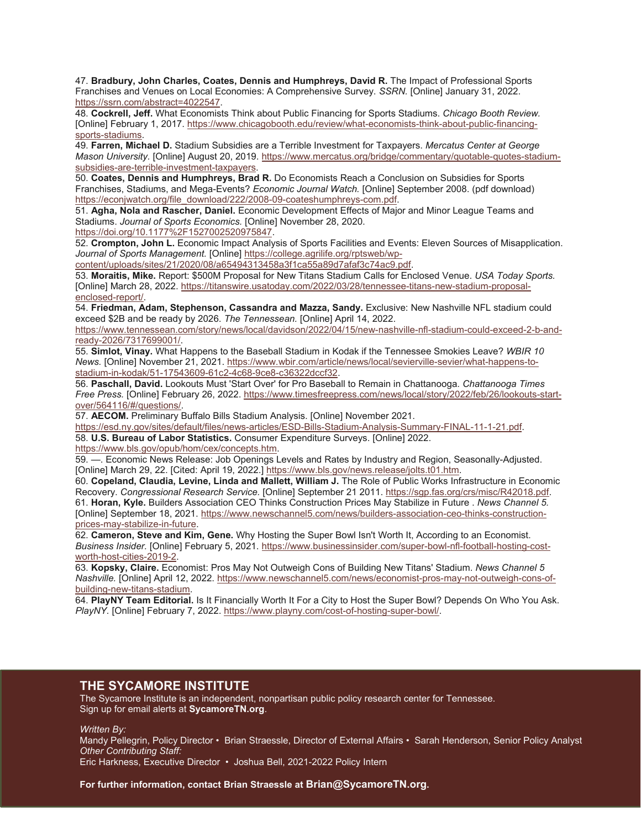47. **Bradbury, John Charles, Coates, Dennis and Humphreys, David R.** The Impact of Professional Sports Franchises and Venues on Local Economies: A Comprehensive Survey. *SSRN.* [Online] January 31, 2022. [https://ssrn.com/abstract=4022547.](https://ssrn.com/abstract=4022547) 

48. **Cockrell, Jeff.** What Economists Think about Public Financing for Sports Stadiums. *Chicago Booth Review.*  [Online] February 1, 2017. [https://www.chicagobooth.edu/review/what-economists-think-about-public-financing](https://www.chicagobooth.edu/review/what-economists-think-about-public-financing-sports-stadiums)[sports-stadiums.](https://www.chicagobooth.edu/review/what-economists-think-about-public-financing-sports-stadiums)

49. **Farren, Michael D.** Stadium Subsidies are a Terrible Investment for Taxpayers. *Mercatus Center at George Mason University.* [Online] August 20, 2019. [https://www.mercatus.org/bridge/commentary/quotable-quotes-stadium](https://www.mercatus.org/bridge/commentary/quotable-quotes-stadium-subsidies-are-terrible-investment-taxpayers)[subsidies-are-terrible-investment-taxpayers.](https://www.mercatus.org/bridge/commentary/quotable-quotes-stadium-subsidies-are-terrible-investment-taxpayers)

50. **Coates, Dennis and Humphreys, Brad R.** Do Economists Reach a Conclusion on Subsidies for Sports Franchises, Stadiums, and Mega-Events? *Economic Journal Watch.* [Online] September 2008. (pdf download) [https://econjwatch.org/file\\_download/222/2008-09-coateshumphreys-com.pdf.](https://econjwatch.org/file_download/222/2008-09-coateshumphreys-com.pdf)

51. **Agha, Nola and Rascher, Daniel.** Economic Development Effects of Major and Minor League Teams and Stadiums. *Journal of Sports Economics.* [Online] November 28, 2020. [https://doi.org/10.1177%2F1527002520975847.](https://doi.org/10.1177%2F1527002520975847)

52. **Crompton, John L.** Economic Impact Analysis of Sports Facilities and Events: Eleven Sources of Misapplication. *Journal of Sports Management.* [Online] [https://college.agrilife.org/rptsweb/wp-](https://college.agrilife.org/rptsweb/wp-content/uploads/sites/21/2020/08/a65494313458a3f1ca55a89d7afaf3c74ac9.pdf)

[content/uploads/sites/21/2020/08/a65494313458a3f1ca55a89d7afaf3c74ac9.pdf.](https://college.agrilife.org/rptsweb/wp-content/uploads/sites/21/2020/08/a65494313458a3f1ca55a89d7afaf3c74ac9.pdf)

53. **Moraitis, Mike.** Report: \$500M Proposal for New Titans Stadium Calls for Enclosed Venue. *USA Today Sports.*  [Online] March 28, 2022. [https://titanswire.usatoday.com/2022/03/28/tennessee-titans-new-stadium-proposal](https://titanswire.usatoday.com/2022/03/28/tennessee-titans-new-stadium-proposal-enclosed-report/)[enclosed-report/.](https://titanswire.usatoday.com/2022/03/28/tennessee-titans-new-stadium-proposal-enclosed-report/)

54. **Friedman, Adam, Stephenson, Cassandra and Mazza, Sandy.** Exclusive: New Nashville NFL stadium could exceed \$2B and be ready by 2026. *The Tennessean.* [Online] April 14, 2022.

[https://www.tennessean.com/story/news/local/davidson/2022/04/15/new-nashville-nfl-stadium-could-exceed-2-b-and](https://www.tennessean.com/story/news/local/davidson/2022/04/15/new-nashville-nfl-stadium-could-exceed-2-b-and-ready-2026/7317699001/)[ready-2026/7317699001/.](https://www.tennessean.com/story/news/local/davidson/2022/04/15/new-nashville-nfl-stadium-could-exceed-2-b-and-ready-2026/7317699001/)

55. **Simlot, Vinay.** What Happens to the Baseball Stadium in Kodak if the Tennessee Smokies Leave? *WBIR 10 News.* [Online] November 21, 2021. [https://www.wbir.com/article/news/local/sevierville-sevier/what-happens-to](https://www.wbir.com/article/news/local/sevierville-sevier/what-happens-to-stadium-in-kodak/51-17543609-61c2-4c68-9ce8-c36322dccf32)[stadium-in-kodak/51-17543609-61c2-4c68-9ce8-c36322dccf32.](https://www.wbir.com/article/news/local/sevierville-sevier/what-happens-to-stadium-in-kodak/51-17543609-61c2-4c68-9ce8-c36322dccf32)

56. **Paschall, David.** Lookouts Must 'Start Over' for Pro Baseball to Remain in Chattanooga. *Chattanooga Times Free Press.* [Online] February 26, 2022. [https://www.timesfreepress.com/news/local/story/2022/feb/26/lookouts-start](https://www.timesfreepress.com/news/local/story/2022/feb/26/lookouts-start-over/564116/#/questions/)[over/564116/#/questions/.](https://www.timesfreepress.com/news/local/story/2022/feb/26/lookouts-start-over/564116/#/questions/)

57. **AECOM.** Preliminary Buffalo Bills Stadium Analysis. [Online] November 2021.

[https://esd.ny.gov/sites/default/files/news-articles/ESD-Bills-Stadium-Analysis-Summary-FINAL-11-1-21.pdf.](https://esd.ny.gov/sites/default/files/news-articles/ESD-Bills-Stadium-Analysis-Summary-FINAL-11-1-21.pdf)

58. **U.S. Bureau of Labor Statistics.** Consumer Expenditure Surveys. [Online] 2022.

[https://www.bls.gov/opub/hom/cex/concepts.htm.](https://www.bls.gov/opub/hom/cex/concepts.htm)

59. —. Economic News Release: Job Openings Levels and Rates by Industry and Region, Seasonally-Adjusted. [Online] March 29, 22. [Cited: April 19, 2022.[\] https://www.bls.gov/news.release/jolts.t01.htm.](https://www.bls.gov/news.release/jolts.t01.htm)

60. **Copeland, Claudia, Levine, Linda and Mallett, William J.** The Role of Public Works Infrastructure in Economic Recovery. *Congressional Research Service.* [Online] September 21 2011[. https://sgp.fas.org/crs/misc/R42018.pdf.](https://sgp.fas.org/crs/misc/R42018.pdf) 61. **Horan, Kyle.** Builders Association CEO Thinks Construction Prices May Stabilize in Future . *News Channel 5.*  [Online] September 18, 2021. [https://www.newschannel5.com/news/builders-association-ceo-thinks-construction](https://www.newschannel5.com/news/builders-association-ceo-thinks-construction-prices-may-stabilize-in-future)[prices-may-stabilize-in-future.](https://www.newschannel5.com/news/builders-association-ceo-thinks-construction-prices-may-stabilize-in-future)

62. **Cameron, Steve and Kim, Gene.** Why Hosting the Super Bowl Isn't Worth It, According to an Economist. *Business Insider.* [Online] February 5, 2021. [https://www.businessinsider.com/super-bowl-nfl-football-hosting-cost](https://www.businessinsider.com/super-bowl-nfl-football-hosting-cost-worth-host-cities-2019-2)[worth-host-cities-2019-2.](https://www.businessinsider.com/super-bowl-nfl-football-hosting-cost-worth-host-cities-2019-2)

63. **Kopsky, Claire.** Economist: Pros May Not Outweigh Cons of Building New Titans' Stadium. *News Channel 5 Nashville.* [Online] April 12, 2022. [https://www.newschannel5.com/news/economist-pros-may-not-outweigh-cons-of](https://www.newschannel5.com/news/economist-pros-may-not-outweigh-cons-of-building-new-titans-stadium)[building-new-titans-stadium.](https://www.newschannel5.com/news/economist-pros-may-not-outweigh-cons-of-building-new-titans-stadium)

64. **PlayNY Team Editorial.** Is It Financially Worth It For a City to Host the Super Bowl? Depends On Who You Ask. *PlayNY.* [Online] February 7, 2022. [https://www.playny.com/cost-of-hosting-super-bowl/.](https://www.playny.com/cost-of-hosting-super-bowl/)

#### **THE SYCAMORE INSTITUTE**

The Sycamore Institute is an independent, nonpartisan public policy research center for Tennessee. Sign up for email alerts at **SycamoreTN.org**.

*Written By:* 

Mandy Pellegrin, Policy Director • Brian Straessle, Director of External Affairs • Sarah Henderson, Senior Policy Analyst *Other Contributing Staff:* 

Eric Harkness, Executive Director • Joshua Bell, 2021-2022 Policy Intern

The Sycamore Institute 13 **For further information, contact Brian Straessle at [Brian@SycamoreTN.org.](mailto:Brian@SycamoreTN.org)**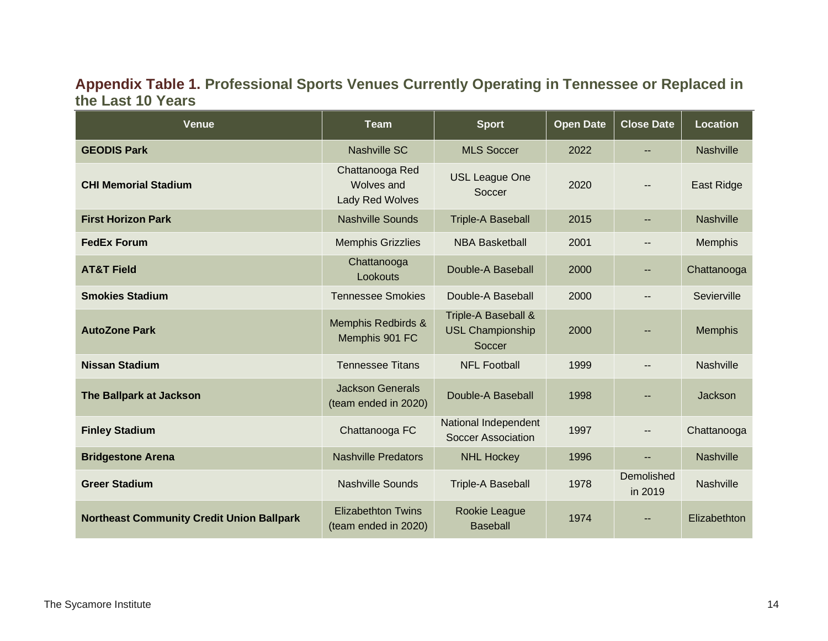## **Appendix Table 1. Professional Sports Venues Currently Operating in Tennessee or Replaced in the Last 10 Years**

| <b>Venue</b>                                     | <b>Team</b>                                             | <b>Sport</b>                                             | <b>Open Date</b> | <b>Close Date</b>     | <b>Location</b>  |
|--------------------------------------------------|---------------------------------------------------------|----------------------------------------------------------|------------------|-----------------------|------------------|
| <b>GEODIS Park</b>                               | <b>Nashville SC</b>                                     | <b>MLS Soccer</b>                                        | 2022             | --                    | <b>Nashville</b> |
| <b>CHI Memorial Stadium</b>                      | Chattanooga Red<br><b>Wolves and</b><br>Lady Red Wolves | <b>USL League One</b><br>Soccer                          | 2020             | --                    | East Ridge       |
| <b>First Horizon Park</b>                        | <b>Nashville Sounds</b>                                 | <b>Triple-A Baseball</b>                                 | 2015             | 44                    | <b>Nashville</b> |
| <b>FedEx Forum</b>                               | <b>Memphis Grizzlies</b>                                | <b>NBA Basketball</b>                                    | 2001             | --                    | Memphis          |
| <b>AT&amp;T Field</b>                            | Chattanooga<br>Lookouts                                 | Double-A Baseball                                        | 2000             | --                    | Chattanooga      |
| <b>Smokies Stadium</b>                           | <b>Tennessee Smokies</b>                                | Double-A Baseball                                        | 2000             |                       | Sevierville      |
| <b>AutoZone Park</b>                             | Memphis Redbirds &<br>Memphis 901 FC                    | Triple-A Baseball &<br><b>USL Championship</b><br>Soccer | 2000             |                       | <b>Memphis</b>   |
| <b>Nissan Stadium</b>                            | <b>Tennessee Titans</b>                                 | <b>NFL Football</b>                                      | 1999             | --                    | <b>Nashville</b> |
| The Ballpark at Jackson                          | <b>Jackson Generals</b><br>(team ended in 2020)         | Double-A Baseball                                        | 1998             |                       | Jackson          |
| <b>Finley Stadium</b>                            | Chattanooga FC                                          | National Independent<br><b>Soccer Association</b>        | 1997             |                       | Chattanooga      |
| <b>Bridgestone Arena</b>                         | <b>Nashville Predators</b>                              | <b>NHL Hockey</b>                                        | 1996             | н.                    | <b>Nashville</b> |
| <b>Greer Stadium</b>                             | <b>Nashville Sounds</b>                                 | <b>Triple-A Baseball</b>                                 | 1978             | Demolished<br>in 2019 | <b>Nashville</b> |
| <b>Northeast Community Credit Union Ballpark</b> | <b>Elizabethton Twins</b><br>(team ended in 2020)       | Rookie League<br><b>Baseball</b>                         | 1974             |                       | Elizabethton     |